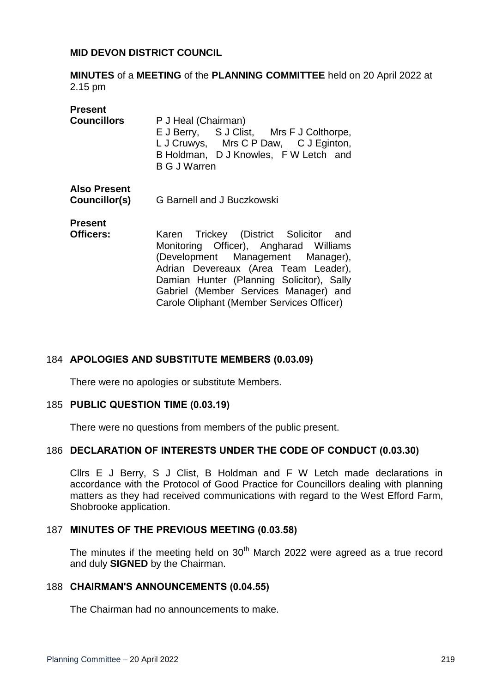## **MID DEVON DISTRICT COUNCIL**

**MINUTES** of a **MEETING** of the **PLANNING COMMITTEE** held on 20 April 2022 at 2.15 pm

| Present<br><b>Councillors</b>        | P J Heal (Chairman)<br>E J Berry, S J Clist, Mrs F J Colthorpe,<br>L J Cruwys, Mrs C P Daw, C J Eginton,<br>B Holdman, D J Knowles, F W Letch and<br><b>B G J Warren</b>                                                                                                                        |
|--------------------------------------|-------------------------------------------------------------------------------------------------------------------------------------------------------------------------------------------------------------------------------------------------------------------------------------------------|
| <b>Also Present</b><br>Councillor(s) | G Barnell and J Buczkowski                                                                                                                                                                                                                                                                      |
| Present<br>Officers:                 | Karen Trickey (District Solicitor and<br>Monitoring Officer), Angharad Williams<br>(Development Management Manager),<br>Adrian Devereaux (Area Team Leader),<br>Damian Hunter (Planning Solicitor), Sally<br>Gabriel (Member Services Manager) and<br>Carole Oliphant (Member Services Officer) |

### 184 **APOLOGIES AND SUBSTITUTE MEMBERS (0.03.09)**

There were no apologies or substitute Members.

### 185 **PUBLIC QUESTION TIME (0.03.19)**

There were no questions from members of the public present.

### 186 **DECLARATION OF INTERESTS UNDER THE CODE OF CONDUCT (0.03.30)**

Cllrs E J Berry, S J Clist, B Holdman and F W Letch made declarations in accordance with the Protocol of Good Practice for Councillors dealing with planning matters as they had received communications with regard to the West Efford Farm, Shobrooke application.

## 187 **MINUTES OF THE PREVIOUS MEETING (0.03.58)**

The minutes if the meeting held on  $30<sup>th</sup>$  March 2022 were agreed as a true record and duly **SIGNED** by the Chairman.

### 188 **CHAIRMAN'S ANNOUNCEMENTS (0.04.55)**

The Chairman had no announcements to make.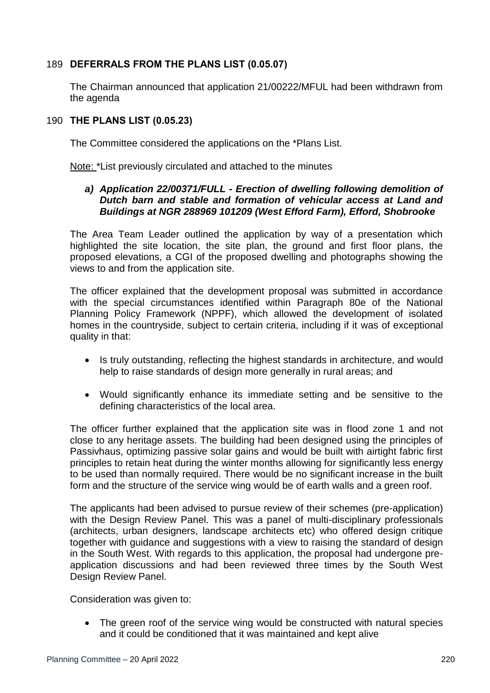# 189 **DEFERRALS FROM THE PLANS LIST (0.05.07)**

The Chairman announced that application 21/00222/MFUL had been withdrawn from the agenda

# 190 **THE PLANS LIST (0.05.23)**

The Committee considered the applications on the \*Plans List.

Note: \*List previously circulated and attached to the minutes

## *a) Application 22/00371/FULL - Erection of dwelling following demolition of Dutch barn and stable and formation of vehicular access at Land and Buildings at NGR 288969 101209 (West Efford Farm), Efford, Shobrooke*

The Area Team Leader outlined the application by way of a presentation which highlighted the site location, the site plan, the ground and first floor plans, the proposed elevations, a CGI of the proposed dwelling and photographs showing the views to and from the application site.

The officer explained that the development proposal was submitted in accordance with the special circumstances identified within Paragraph 80e of the National Planning Policy Framework (NPPF), which allowed the development of isolated homes in the countryside, subject to certain criteria, including if it was of exceptional quality in that:

- Is truly outstanding, reflecting the highest standards in architecture, and would help to raise standards of design more generally in rural areas; and
- Would significantly enhance its immediate setting and be sensitive to the defining characteristics of the local area.

The officer further explained that the application site was in flood zone 1 and not close to any heritage assets. The building had been designed using the principles of Passivhaus, optimizing passive solar gains and would be built with airtight fabric first principles to retain heat during the winter months allowing for significantly less energy to be used than normally required. There would be no significant increase in the built form and the structure of the service wing would be of earth walls and a green roof.

The applicants had been advised to pursue review of their schemes (pre-application) with the Design Review Panel. This was a panel of multi-disciplinary professionals (architects, urban designers, landscape architects etc) who offered design critique together with guidance and suggestions with a view to raising the standard of design in the South West. With regards to this application, the proposal had undergone preapplication discussions and had been reviewed three times by the South West Design Review Panel.

Consideration was given to:

• The green roof of the service wing would be constructed with natural species and it could be conditioned that it was maintained and kept alive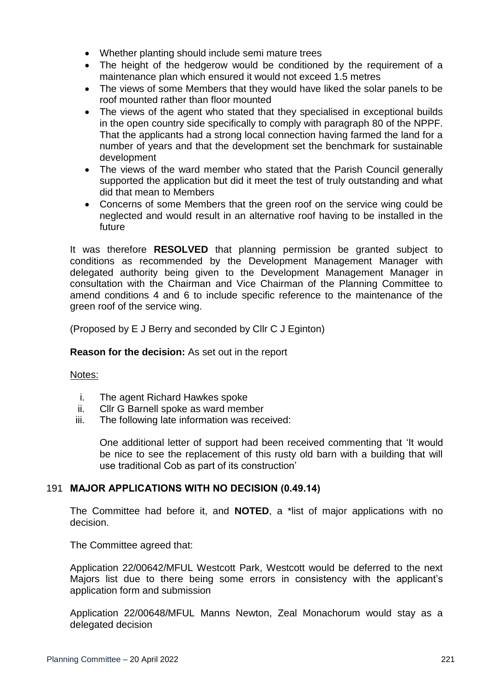- Whether planting should include semi mature trees
- The height of the hedgerow would be conditioned by the requirement of a maintenance plan which ensured it would not exceed 1.5 metres
- The views of some Members that they would have liked the solar panels to be roof mounted rather than floor mounted
- The views of the agent who stated that they specialised in exceptional builds in the open country side specifically to comply with paragraph 80 of the NPPF. That the applicants had a strong local connection having farmed the land for a number of years and that the development set the benchmark for sustainable development
- The views of the ward member who stated that the Parish Council generally supported the application but did it meet the test of truly outstanding and what did that mean to Members
- Concerns of some Members that the green roof on the service wing could be neglected and would result in an alternative roof having to be installed in the future

It was therefore **RESOLVED** that planning permission be granted subject to conditions as recommended by the Development Management Manager with delegated authority being given to the Development Management Manager in consultation with the Chairman and Vice Chairman of the Planning Committee to amend conditions 4 and 6 to include specific reference to the maintenance of the green roof of the service wing.

(Proposed by E J Berry and seconded by Cllr C J Eginton)

**Reason for the decision:** As set out in the report

Notes:

- i. The agent Richard Hawkes spoke
- ii. Cllr G Barnell spoke as ward member
- iii. The following late information was received:

One additional letter of support had been received commenting that 'It would be nice to see the replacement of this rusty old barn with a building that will use traditional Cob as part of its construction'

# 191 **MAJOR APPLICATIONS WITH NO DECISION (0.49.14)**

The Committee had before it, and **NOTED**, a \*list of major applications with no decision.

The Committee agreed that:

Application 22/00642/MFUL Westcott Park, Westcott would be deferred to the next Majors list due to there being some errors in consistency with the applicant's application form and submission

Application 22/00648/MFUL Manns Newton, Zeal Monachorum would stay as a delegated decision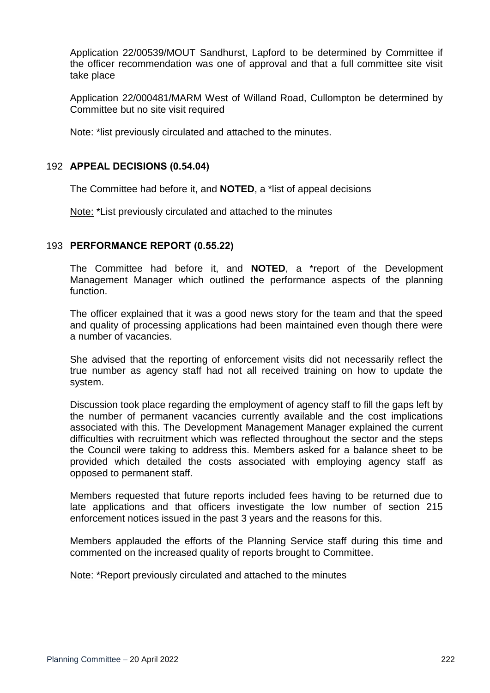Application 22/00539/MOUT Sandhurst, Lapford to be determined by Committee if the officer recommendation was one of approval and that a full committee site visit take place

Application 22/000481/MARM West of Willand Road, Cullompton be determined by Committee but no site visit required

Note: \*list previously circulated and attached to the minutes.

# 192 **APPEAL DECISIONS (0.54.04)**

The Committee had before it, and **NOTED**, a \*list of appeal decisions

Note: \*List previously circulated and attached to the minutes

## 193 **PERFORMANCE REPORT (0.55.22)**

The Committee had before it, and **NOTED**, a \*report of the Development Management Manager which outlined the performance aspects of the planning function.

The officer explained that it was a good news story for the team and that the speed and quality of processing applications had been maintained even though there were a number of vacancies.

She advised that the reporting of enforcement visits did not necessarily reflect the true number as agency staff had not all received training on how to update the system.

Discussion took place regarding the employment of agency staff to fill the gaps left by the number of permanent vacancies currently available and the cost implications associated with this. The Development Management Manager explained the current difficulties with recruitment which was reflected throughout the sector and the steps the Council were taking to address this. Members asked for a balance sheet to be provided which detailed the costs associated with employing agency staff as opposed to permanent staff.

Members requested that future reports included fees having to be returned due to late applications and that officers investigate the low number of section 215 enforcement notices issued in the past 3 years and the reasons for this.

Members applauded the efforts of the Planning Service staff during this time and commented on the increased quality of reports brought to Committee.

Note: \*Report previously circulated and attached to the minutes